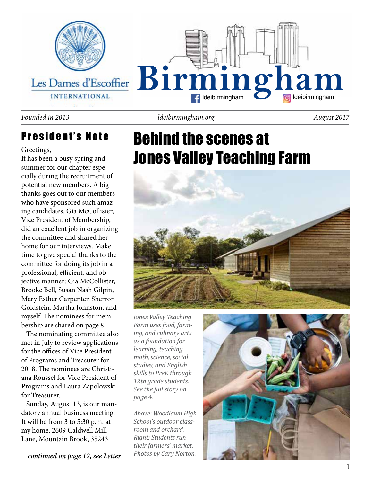

#### *Founded in 2013 ldeibirmingham.org August 2017*

### President's Note

Greetings,

It has been a busy spring and summer for our chapter especially during the recruitment of potential new members. A big thanks goes out to our members who have sponsored such amazing candidates. Gia McCollister, Vice President of Membership, did an excellent job in organizing the committee and shared her home for our interviews. Make time to give special thanks to the committee for doing its job in a professional, efficient, and objective manner: Gia McCollister, Brooke Bell, Susan Nash Gilpin, Mary Esther Carpenter, Sherron Goldstein, Martha Johnston, and myself. The nominees for membership are shared on page 8.

 The nominating committee also met in July to review applications for the offices of Vice President of Programs and Treasurer for 2018. The nominees are Christiana Roussel for Vice President of Programs and Laura Zapolowski for Treasurer.

 Sunday, August 13, is our mandatory annual business meeting. It will be from 3 to 5:30 p.m. at my home, 2609 Caldwell Mill Lane, Mountain Brook, 35243.

Behind the scenes at Jones Valley Teaching Farm



*Jones Valley Teaching Farm uses food, farming, and culinary arts as a foundation for learning, teaching math, science, social studies, and English skills to PreK through 12th grade students. See the full story on page 4.*

*Above: Woodlawn High School's outdoor classroom and orchard. Right: Students run their farmers' market.* 

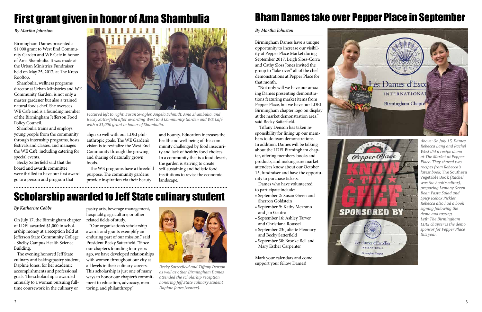





*Pictured left to right: Susan Swagler, Angela Schmidt, Ama Shambulia, and Becky Satterfield after awarding West End Community Garden and WE Café with a \$1,000 grant in honor of Shambulia.* 

## First grant given in honor of Ama Shambulia Bham Dames take over Pepper Place in September

Birmingham Dames have a unique opportunity to increase our visibility at Pepper Place Market during September 2017. Leigh Sloss-Corra and Cathy Sloss Jones invited the group to "take over" all of the chef demonstrations at Pepper Place for that month.

 "Not only will we have our amazing Dames presenting demonstrations featuring market items from Pepper Place, but we have our LDEI Birmingham chapter logo on display at the market demonstration area," said Becky Satterfield.

 Tiffany Denson has taken responsibility for lining up our members to do team demonstrations. In addition, Dames will be talking about the LDEI Birmingham chapter, offering members' books and products, and making sure market attendees know about our October 15, fundraiser and have the opportunity to purchase tickets.

 Dames who have volunteered to participate include:

- September 2: Susan Green and Sherron Goldstein
- September 9: Kathy Mezrano and Jan Gautro
- September 16: Ashley Tarver and Christiana Roussel
- September 23: Juliette Flenoury and Becky Satterfield
- September 30: Brooke Bell and Mary Esther Carpenter

Mark your calendars and come support your fellow Dames!



### *By Martha Johnston*

On July 17, the Birmingham chapter of LDEI awarded \$1,000 in scholarship money at a reception held at Jefferson State Community College - Shelby Campus Health Science Building.

 The evening honored Jeff State culinary and baking/pastry student, Daphne Jones, for her academic accomplishments and professional goals. The scholarship is awarded annually to a woman pursuing fulltime coursework in the culinary or

pastry arts, beverage management, hospitality, agriculture, or other related fields of study.

 "Our organization's scholarship awards and grants exemplify an enduring part of our mission," said President Becky Satterfield. "Since our chapter's founding four years ago, we have developed relationships with women throughout our city at all levels in their culinary careers. This scholarship is just one of many ways to honor our chapter's commitment to education, advocacy, mentoring, and philanthropy."

#### *By Katherine Cobbs*

## Scholarship awarded to Jeff State culinary student



*Becky Satterfield and Tiffany Denson as well as other Birmingham Dames attended the scholarhip reception honoring Jeff State culinary student Daphne Jones (center).*

*By Martha Johnston*

Birmingham Dames presented a \$1,000 grant to West End Community Garden and WE Café in honor of Ama Shambulia. It was made at the Urban Ministries Fundraiser held on May 25, 2017, at The Kress Rooftop.

 Shambulia, wellness programs director at Urban Ministries and WE Community Garden, is not only a master gardener but also a trained natural foods chef. She oversees WE Café and is a founding member of the Birmingham Jefferson Food Policy Council.

 Shambulia trains and employs young people from the community through internship programs, hosts festivals and classes, and manages the WE Café, including catering for special events.

 Becky Satterfield said that the board and awards committee were thrilled to have our first award go to a person and program that

align so well with our LDEI philanthropic goals. The WE Garden's vision is to revitalize the West End Community through the growing and sharing of naturally grown foods.

 The WE programs have a threefold purpose. The community gardens provide inspiration via their beauty

and bounty. Education increases the health and well-being of this community challenged by food insecurity and lack of healthy food choices. In a community that is a food desert, the garden is striving to create self-sustaining and holistic food institutions to revise the economic landscape.

*Above: On July 15, Dames Rebecca Lang and Rachel West did a recipe demo at The Market at Pepper Place. They shared two recipes from Rebecca's latest book,* The Southern Vegetable Book *(Rachel was the book's editor)*, *preparing Lemony Green Bean Pasta Salad and Spicy Icebox Pickles. Rebecca also had a book signing following the demo and tasting. Left: The Birmingham LDEI chapter is the demo sponsor for Pepper Place this year.*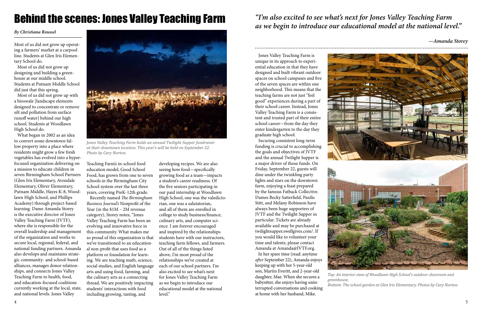## Behind the scenes: Jones Valley Teaching Farm

### *By Christiana Roussel*

Most of us did not grow up operating a farmers' market at a carpool line. Students at Glen Iris Elementary School do.

 Most of us did not grow up designing and building a greenhouse at our middle school. Students at Putnam Middle School did just that this spring.

 Most of us did not grow up with a bioswale [landscape elements designed to concentrate or remove silt and pollution from surface runoff water] behind our high school. Students at Woodlawn High School do.

 What began in 2002 as an idea to convert some downtown fallow property into a place where residents might grow a few fresh vegetables has evolved into a hyperfocused organization delivering on a mission to educate children in seven Birmingham School Partners (Glen Iris Elementary, Avondale Elementary, Oliver Elementary, Putnam Middle, Hayes K-8, Woodlawn High School, and Phillips Academy) through project-based learning. Dame Amanda Storey is the executive director of Jones Valley Teaching Farm (JVTF), where she is responsible for the overall leadership and management of the organization and works to secure local, regional, federal, and national funding partners. Amanda also develops and maintains strategic community- and school-based alliances, manages donor relationships, and connects Jones Valley Teaching Farm to health, food, and education-focused coalitions currently working at the local, state, and national levels. Jones Valley

Teaching Farm's in-school food education model, Good School Food, has grown from one to seven schools in the Birmingham City School system over the last three years, covering PreK-12th grade.

 Recently named *The Birmingham Business Journal's* Nonprofit of the Year (in the \$1M – 2M revenue category), Storey notes, "Jones Valley Teaching Farm has been an evolving and innovative force in this community. What makes me so proud of this organization is that we've transitioned to an educational non-profit that uses food as a platform or foundation for learning. We are teaching math, science, social studies, and English language arts and using food, farming, and the culinary arts as a connecting thread. We are positively impacting students' interactions with food including growing, tasting, and

*—Amanda Storey*.........................

developing recipes. We are also seeing how food—specifically growing food as a team—impacts a student's career readiness. Of the five seniors participating in our paid internship at Woodlawn High School, one was the valedictorian, one was a salutatorian, and all of them are enrolled in college to study business/finance, culinary arts, and computer science. I am forever encouraged and inspired by the relationships students have with our instructors, teaching farm fellows, and farmers. Out of all of the things listed above, I'm most proud of the relationships we've created at each of our school partners. I'm also excited to see what's next for Jones Valley Teaching Farm as we begin to introduce our educational model at the national level."



*Jones Valley Teaching Farm holds an annual Twilight Supper fundraiser at their downtown location. This year's will be held on September 22. Photo by Cary Norton.*

*Top: An interior view of Woodlawn High School's outdoor classroom and Bottom: The school garden at Glen Iris Elementary. Photos by Cary Norton.*

 Jones Valley Teaching Farm is unique in its approach to experiential education in that they have designed and built vibrant outdoor spaces on school campuses and five of the seven spaces are within one neighborhood. This means that the teaching farms are not just "feel good" experiences during a part of their school career. Instead, Jones Valley Teaching Farm is a consistent and trusted part of their entire school career—from the day they enter kindergarten to the day they graduate high school.

 Securing consistent long-term funding is crucial to accomplishing the goals and objectives of JVTF and the annual Twilight Supper is a major driver of those funds. On Friday, September 22, guests will dine under the twinkling party lights and stars on the downtown farm, enjoying a feast prepared by the famous Fatback Collective. Dames Becky Satterfield, Pardis Stitt, and Melany Robinson have always been huge supporters of JVTF and the Twilight Supper in particular. Tickets are already available and may be purchased at twilightsupper.swellgives.com/. If you would like to volunteer your time and talents, please contact Amanda at Amanda@JVTF.org.

 In her spare time (read: anytime *after* September 22), Amanda enjoys keeping up with her 5-year-old son, Martin Everitt, and 2-year-old daughter, Mae. When she secures a babysitter, she enjoys having uninterrupted conversations and cooking at home with her husband, Mike.



### *"I'm also excited to see what's next for Jones Valley Teaching Farm as we begin to introduce our educational model at the national level."*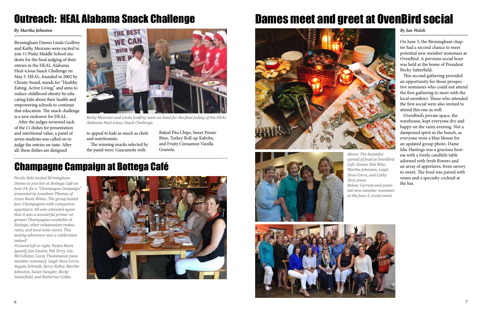## Champagne Campaign at Bottega Café

*Pardis Stitt invited Birmingham Dames to join her at Bottega Café on June 14, for a "Champagne Campaign" presented by Jonathan Thomas of Grass Roots Wines. The group tasted four Champagnes with companion appetizers. All who attended agree that it was a wonderful primer on grower Champagnes available at Bottega, other independent restaurants, and local wine stores. This tasting adventure was a celebration indeed!* 

*Pictured left to right: Paden Reich [guest], Jan Gautro, Pat Terry, Gia McCollister, Carey Thommason [new member nominee], Leigh Sloss-Corra, Angela Schmidt, Kerry Kelley, Martha Johnston, Susan Swagler, Becky Satterfield, and Katherine Cobbs.*



On June 5, the Birmingham chapter had a second chance to meet potential new member nominees at OvenBird. A previous social hour was held at the home of President Becky Satterfield.

 This second gathering provided an opportunity for those prospective nominees who could not attend the first gathering to meet with the local members. Those who attended the first social were also invited to attend this one as well.

 OvenBird's private space, the warehouse, kept everyone dry and happy on the rainy evening. Not a dampened spirit in the bunch, as everyone wore a blue blouse for an updated group photo. Dame Idie Hastings was a gracious hostess with a lovely candlelit table adorned with fresh flowers and an array of appetizers, from savory to sweet. The food was paired with wines and a specialty cocktail at the bar.

## Dames meet and greet at OvenBird social







### *By Jan Walsh*

Birmingham Dames Linda Godfrey and Kathy Mezrano were excited to join 11 Pizitz Middle School students for the final judging of their entries in the HEAL Alabama Heal-icious Snack Challenge on May 3. HEAL, founded in 2002 by Christy Swaid, stands for "Healthy Eating, Active Living," and aims to reduce childhood obesity by educating kids about their health and empowering schools to continue that education. The snack challenge is a new endeavor for HEAL.

After the judges reviewed each of the 11 dishes for presentation and nutritional value, a panel of seven students was called on to judge the entries on taste. After all, these dishes are designed

### *By Martha Johnston*

## Outreach: HEAL Alabama Snack Challenge

to appeal to kids as much as chefs and nutritionists.

The winning snacks selected by the panel were: Guacamole with

Baked Pita Chips, Sweet Potato Bites, Turkey Roll-up Kabobs, and Fruity Cinnamon Vanilla Granola.



*Kathy Mezrano and Linda Godfrey were on hand for the final juding of the HEAL Alabama Heal-icious Snack Challenge.*

*Above: The beautiful spread of food at OvenBird. Left: Dames Deb Wise, Martha Johnston, Leigh Sloss-Corra, and Cathy Sloss Jones.*

*Below: Current and potential new member nominees at the June 5, social event.*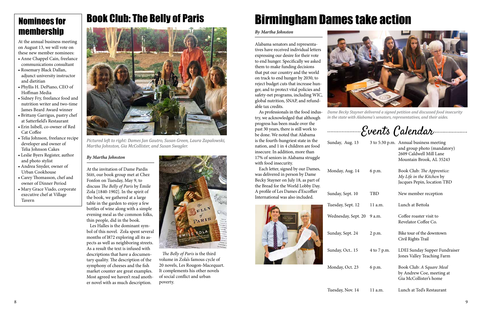## Book Club: The Belly of Paris



### *By Martha Johnston*

At the invitation of Dame Pardis Stitt, our book group met at Chez Fonfon on Tuesday, May 9, to discuss *The Belly of Paris* by Émile Zola [1840-1902]. In the spirit of the book, we gathered at a large table in the garden to enjoy a few bottles of wine along with a simple evening meal as the common folks, thin people, did in the book.

 Les Halles is the dominant symbol of this novel. Zola spent several months of l872 exploring all its aspects as well as neighboring streets. As a result the text is infused with descriptions that have a documentary quality. The description of the symphony of cheeses and the fish market counter are great examples. Most agreed we haven't read another novel with as much description.



*Pictured left to right: Dames Jan Gautro, Susan Green, Laura Zapalowski, Martha Johnston, Gia McCollister, and Susan Swagler.*

## Nominees for membership

Alabama senators and representatives have received individual letters expressing our desire for their vote to end hunger. Specifically we asked them to make funding decisions that put our country and the world on track to end hunger by 2030, to reject budget cuts that increase hunger, and to protect vital policies and safety-net programs, including WIC, global nutrition, SNAP, and refundable tax credits.

As professionals in the food industry, we acknowledged that although progress has been made over the past 30 years, there is still work to be done. We noted that Alabama is the fourth-hungriest state in the nation, and 1 in 4 children are food insecure. In addition, more than 17% of seniors in Alabama struggle with food insecurity.

Each letter, signed by our Dames, was delivered in person by Dame Becky Stayner on July 18, as part of the Bread for the World Lobby Day. A profile of Les Dames d'Escoffier International was also included.



Monday, Oct.

Sunday, Aug.

Wednesday, Se Sunday, Sept. 2

### *By Martha Johnston*

# Birmingham Dames take action



*Dame Becky Stayner delivered a signed petition and discussed food insecurity in the state with Alabama's senators, representatives, and their aides.*

## Events Calendar

 *The Belly of Paris* is the third volume in Zola's famous cycle of 20 novels, Les Rougon-Macequart. It complements his other novels of social conflict and urban poverty.

| Sunday, Aug. 13     |             | 3 to 5:30 p.m. Annual business meeting<br>and group photo (mandatory)<br>2609 Caldwell Mill Lane<br>Mountain Brook, AL 35243 |
|---------------------|-------------|------------------------------------------------------------------------------------------------------------------------------|
| Monday, Aug. 14     | 6 p.m.      | Book Club: The Apprentice:<br>My Life in the Kitchen by<br>Jacques Pepin, location TBD                                       |
| Sunday, Sept. 10    | TBD         | New member reception                                                                                                         |
| Tuesday, Sept. 12   | 11 a.m.     | Lunch at Bettola                                                                                                             |
| Wednesday, Sept. 20 | 9 a.m.      | Coffee roaster visit to<br>Revelator Coffee Co.                                                                              |
| Sunday, Sept. 24    | 2 p.m.      | Bike tour of the downtown<br>Civil Rights Trail                                                                              |
| Sunday, Oct 15      | 4 to 7 p.m. | LDEI Sunday Supper Fundraiser<br>Jones Valley Teaching Farm                                                                  |
| Monday, Oct. 23     | 6 p.m.      | Book Club: A Square Meal<br>by Andrew Coe, meeting at<br>Gia McCollister's home                                              |
| Tuesday, Nov. 14    | 11 a.m.     | Lunch at Ted's Restaurant                                                                                                    |

At the annual business meeting on August 13, we will vote on these new member nominees:

- Anne Chappel Cain, freelance communications consultant
- Rosemary Black Dallan, adjunct university instructor and dietitian
- Phyllis H. DePiano, CEO of Hoffman Media
- Sidney Fry, freelance food and nutrition writer and two-time James Beard Award winner
- Brittany Garrigus, pastry chef at Satterfield's Restaurant
- Erin Isibell, co-owner of Red Cat Coffee
- Telia Johnson, freelance recipe developer and owner of Telia Johnson Cakes
- Leslie Byers Register, author and photo stylist
- Andrea Snyder, owner of Urban Cookhouse
- Carey Thomasson, chef and owner of Dinner Period
- Mary Grace Viado, corporate executive chef at Village Tavern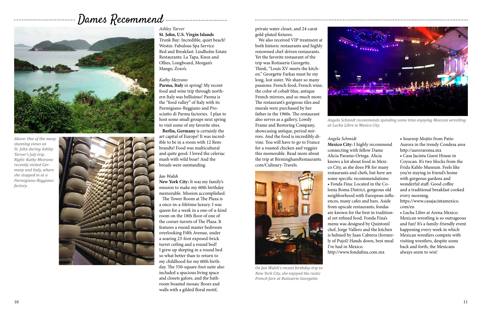### *Ashley Tarver*

**St. John, U.S. Virgin Islands** Trunk Bay: Incredible, quiet beach! Westin: Fabulous Spa Service Bed and Breakfast: Lindholm Estate Restaurants: La Tapa, Knox and Ollies, Longboard, Morgan's Mango, Zozo's.

### *Kathy Mezrano*

**Parma, Italy** in spring! My recent food and wine trip through northern Italy was bellisimo! Parma is the "food valley" of Italy with its Parmigiano-Reggiano and Prosciutto di Parma factories. I plan to host some small groups next spring to visit some of my favorite sites.

 **Berlin, Germany** is certainly the art capital of Europe! It was incredible to be in a room with 12 Rembrandts! Food was multicultural and quite good. I loved the celeriac mash with wild boar! And the breads were outstanding.

### *Jan Walsh*

**New York City:** It was my family's mission to make my 60th birthday memorable. Mission accomplished.

 The Tower Room at The Plaza is a once-in-a-lifetime luxury. I was queen for a week in a one-of-a-kind room on the 18th floor of one of the corner turrets of The Plaza. It features a round master bedroom overlooking Fifth Avenue, under a soaring 23-foot exposed-brick turret ceiling and a round bed! I grew up sleeping in a round bed so what better than to return to my childhood for my 60th birthday. The 550-square-foot suite also included a spacious living space and closets galore, and the bathroom boasted mosaic floors and walls with a gilded floral motif,

private water closet, and 24-carat gold-plated fixtures.

 We also received VIP treatment at both historic restaurants and highly renowned chef-driven restaurants. Yet the favorite restaurant of the trip was Rotisserie Georgette. Think, "Louis XV meets the kitchen." Georgette Farkas must be my long, lost sister. We share so many passions: French food, French wine, the color of cobalt blue, antique French mirrors, and so much more. The restaurant's gorgeous tiles and murals were purchased by her father in the 1960s. The restaurant also serves as a gallery, Lowdy Frame and Restoring Company, showcasing antique, period mirrors. And the food is incredibly divine. You will have to go to France for a roasted chicken and veggies this memorable. Read more about the trip at BirminghamRestaurants. com/Culinary-Travels.

## ----------------------------------Dames Recommend ------------------------------



*Above: One of the many stunning views on St. John during Ashley Tarver's July trip. Right: Kathy Mezrano recently visited Germany and Italy, where she stopped in at a Parmigiano-Reggiano factory.* 



*Angela Schmidt* **Mexico City:** I highly recommend connecting with fellow Dame Alicia Paramo Ortega. Alicia knows a lot about food in Mexico City, as she does PR for many restaurants and chefs, but here are some specific recommendations: • Fonda Fina: Located in the Colonia Roma District, gorgeous old neighborhood with European influences, many cafes and bars. Aside from upscale restaurants, fondas are known for the best in traditional yet refined food. Fonda Fina's menu was designed by Quintonil chef, Jorge Vallero and the kitchen is helmed by Juan Cabrera (formerly of Pujol) Hands down, best meal I've had in Mexico. http://www.fondafina.com.mx



*On Jan Walsh's recent birthday trip to New York City, she enjoyed the rustic French fare at Rotisserie Georgette.*

• Soursop Mojito from Patio Aurora in the trendy Condesa area http://auroraroma.mx • Casa Jacinta Guest House in Coyocan. It's two blocks from the Frida Kahlo Museum. Feels like you're staying in friend's home with gorgeous gardens and wonderful staff. Good coffee and a traditional breakfast cooked every morning.

https://www.casajacintamexico. com/en

• Lucha Libre at Arena Mexico. Mexican wrestling is so outrageous and fun! It's a family-friendly event happening every week in which Mexican wrestlers compete with visiting wrestlers, despite some back and forth, the Mexicans always seem to win!



*Angela Schmidt recommends spending some time enjoying Mexican wrestling at Lucha Libre in Mexico City.*